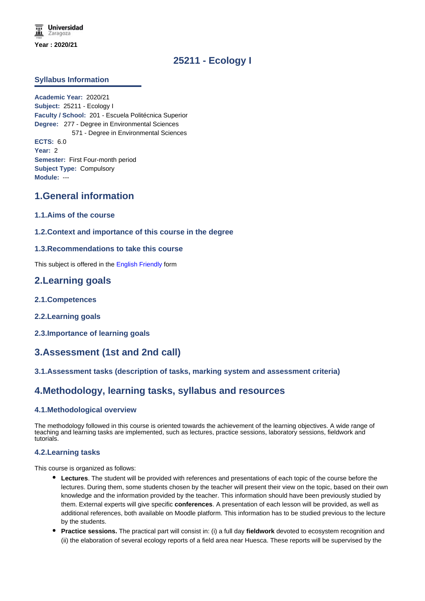# **25211 - Ecology I**

### **Syllabus Information**

**Academic Year:** 2020/21 **Subject:** 25211 - Ecology I **Faculty / School:** 201 - Escuela Politécnica Superior **Degree:** 277 - Degree in Environmental Sciences 571 - Degree in Environmental Sciences **ECTS:** 6.0 **Year:** 2 **Semester:** First Four-month period **Subject Type:** Compulsory **Module:** ---

## **1.General information**

- **1.1.Aims of the course**
- **1.2.Context and importance of this course in the degree**

#### **1.3.Recommendations to take this course**

This subject is offered in the English Friendly form

## **2.Learning goals**

- **2.1.Competences**
- **2.2.Learning goals**
- **2.3.Importance of learning goals**

# **3.Assessment (1st and 2nd call)**

### **3.1.Assessment tasks (description of tasks, marking system and assessment criteria)**

## **4.Methodology, learning tasks, syllabus and resources**

#### **4.1.Methodological overview**

The methodology followed in this course is oriented towards the achievement of the learning objectives. A wide range of teaching and learning tasks are implemented, such as lectures, practice sessions, laboratory sessions, fieldwork and tutorials.

#### **4.2.Learning tasks**

This course is organized as follows:

- **Lectures**. The student will be provided with references and presentations of each topic of the course before the lectures. During them, some students chosen by the teacher will present their view on the topic, based on their own knowledge and the information provided by the teacher. This information should have been previously studied by them. External experts will give specific **conferences**. A presentation of each lesson will be provided, as well as additional references, both available on Moodle platform. This information has to be studied previous to the lecture by the students.
- **Practice sessions.** The practical part will consist in: (i) a full day **fieldwork** devoted to ecosystem recognition and (ii) the elaboration of several ecology reports of a field area near Huesca. These reports will be supervised by the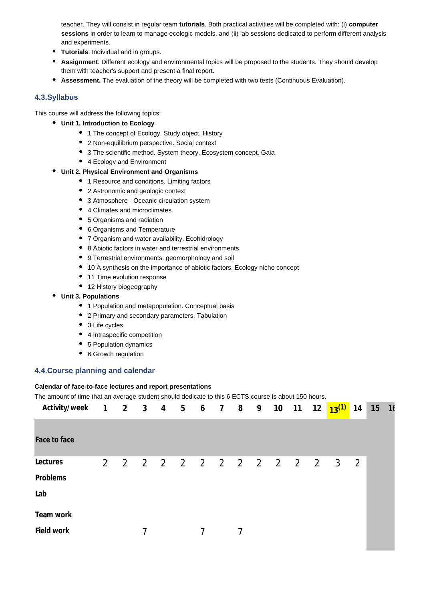teacher. They will consist in regular team **tutorials**. Both practical activities will be completed with: (i) **computer sessions** in order to learn to manage ecologic models, and (ii) lab sessions dedicated to perform different analysis and experiments.

- **Tutorials**. Individual and in groups.
- **Assignment**. Different ecology and environmental topics will be proposed to the students. They should develop them with teacher's support and present a final report.
- **Assessment.** The evaluation of the theory will be completed with two tests (Continuous Evaluation).

#### **4.3.Syllabus**

This course will address the following topics:

- **Unit 1. Introduction to Ecology**
	- 1 The concept of Ecology. Study object. History
	- 2 Non-equilibrium perspective. Social context
	- 3 The scientific method. System theory. Ecosystem concept. Gaia
	- 4 Ecology and Environment
- **Unit 2. Physical Environment and Organisms**
	- 1 Resource and conditions. Limiting factors
	- 2 Astronomic and geologic context
	- 3 Atmosphere Oceanic circulation system
	- 4 Climates and microclimates
	- 5 Organisms and radiation
	- 6 Organisms and Temperature
	- 7 Organism and water availability. Ecohidrology
	- 8 Abiotic factors in water and terrestrial environments
	- 9 Terrestrial environments: geomorphology and soil
	- 10 A synthesis on the importance of abiotic factors. Ecology niche concept
	- 11 Time evolution response
	- 12 History biogeography
- **Unit 3. Populations**
	- 1 Population and metapopulation. Conceptual basis
	- 2 Primary and secondary parameters. Tabulation
	- 3 Life cycles
	- 4 Intraspecific competition
	- 5 Population dynamics
	- 6 Growth regulation

#### **4.4.Course planning and calendar**

#### **Calendar of face-to-face lectures and report presentations**

The amount of time that an average student should dedicate to this 6 ECTS course is about 150 hours.

| Activity/week |             | 1 2 3 4 5 6 7 8 9 10 11 12 |  |   |   |  |  | $13^{(1)}$          | 14             | 15 | 16 |
|---------------|-------------|----------------------------|--|---|---|--|--|---------------------|----------------|----|----|
|               |             |                            |  |   |   |  |  |                     |                |    |    |
| Face to face  |             |                            |  |   |   |  |  |                     |                |    |    |
| Lectures      | $2^{\circ}$ | $\overline{2}$             |  |   |   |  |  | 2 2 2 2 2 2 2 2 2 3 | $\overline{2}$ |    |    |
| Problems      |             |                            |  |   |   |  |  |                     |                |    |    |
| Lab           |             |                            |  |   |   |  |  |                     |                |    |    |
| Team work     |             |                            |  |   |   |  |  |                     |                |    |    |
| Field work    |             |                            |  | 7 | 7 |  |  |                     |                |    |    |